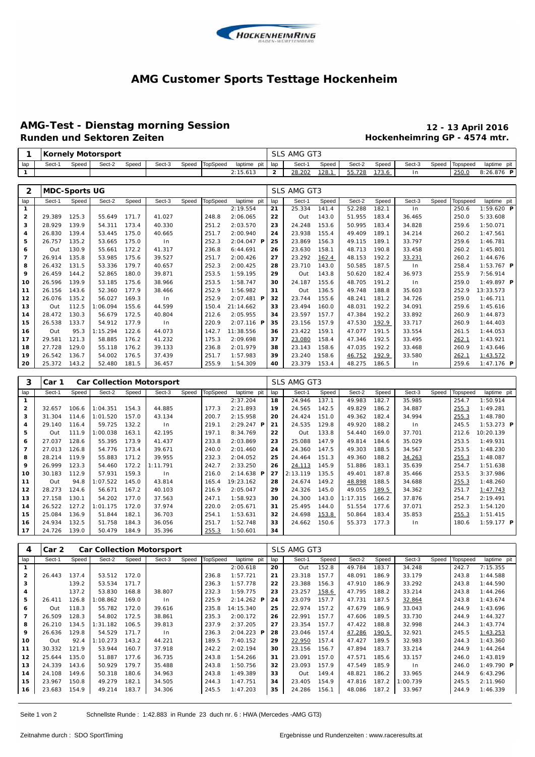

#### **AMG Customer Sports Testtage Hockenheim**

# **AMG-Test - Dienstag morning Session 12 - 13 April 2016**

### **Hockenheimring GP - 4574 mtr.**

|                |        |                      | <b>Kornely Motorsport</b> |       |        |       |                 |              |             | SLS AMG GT3 |       |        |       |        |       |          |                     |  |  |
|----------------|--------|----------------------|---------------------------|-------|--------|-------|-----------------|--------------|-------------|-------------|-------|--------|-------|--------|-------|----------|---------------------|--|--|
| lap            | Sect-1 | Speed                | Sect-2                    | Speed | Sect-3 | Speed | <b>TopSpeed</b> | laptime pit  | lap         | Sect-1      | Speed | Sect-2 | Speed | Sect-3 | Speed | Topspeed | laptime pit         |  |  |
| $\mathbf{1}$   |        |                      |                           |       |        |       |                 | 2:15.613     | 2           | 28.202      | 128.1 | 55.728 | 173.6 | In     |       | 250.0    | 8:26.876 P          |  |  |
|                |        |                      |                           |       |        |       |                 |              |             |             |       |        |       |        |       |          |                     |  |  |
| 2              |        | <b>MDC-Sports UG</b> |                           |       |        |       |                 |              | SLS AMG GT3 |             |       |        |       |        |       |          |                     |  |  |
| lap            | Sect-1 | Speed                | Sect-2                    | Speed | Sect-3 | Speed | <b>TopSpeed</b> | laptime pit  | lap         | Sect-1      | Speed | Sect-2 | Speed | Sect-3 | Speed | Topspeed | laptime pit         |  |  |
| $\mathbf{1}$   |        |                      |                           |       |        |       |                 | 2:19.554     | 21          | 25.334      | 141.4 | 52.288 | 182.1 | In     |       | 250.6    | $1:59.620$ <b>P</b> |  |  |
| 2              | 29.389 | 125.3                | 55.649                    | 171.7 | 41.027 |       | 248.8           | 2:06.065     | 22          | Out         | 143.0 | 51.955 | 183.4 | 36.465 |       | 250.0    | 5:33.608            |  |  |
| з              | 28.929 | 139.9                | 54.311                    | 173.4 | 40.330 |       | 251.2           | 2:03.570     | 23          | 24.248      | 153.6 | 50.995 | 183.4 | 34.828 |       | 259.6    | 1:50.071            |  |  |
| 4              | 26.830 | 139.4                | 53.445                    | 175.0 | 40.665 |       | 251.7           | 2:00.940     | 24          | 23.938      | 155.4 | 49.409 | 189.1 | 34.214 |       | 260.2    | 1:47.561            |  |  |
| 5              | 26.757 | 135.2                | 53.665                    | 175.0 | ln     |       | 252.3           | $2:04.047$ P | 25          | 23.869      | 156.3 | 49.115 | 189.1 | 33.797 |       | 259.6    | 1:46.781            |  |  |
| 6              | Out    | 130.9                | 55.661                    | 172.2 | 41.317 |       | 236.8           | 6:44.691     | 26          | 23.630      | 158.1 | 48.713 | 190.8 | 33.458 |       | 260.2    | 1:45.801            |  |  |
| $\overline{7}$ | 26.914 | 135.8                | 53.985                    | 175.6 | 39.527 |       | 251.7           | 2:00.426     | 27          | 23.292      | 162.4 | 48.153 | 192.2 | 33.231 |       | 260.2    | 1:44.676            |  |  |
| 8              | 26.432 | 131.5                | 53.336                    | 179.7 | 40.657 |       | 252.3           | 2:00.425     | 28          | 23.710      | 143.0 | 50.585 | 187.5 | In.    |       | 258.4    | $1:53.767$ <b>P</b> |  |  |
| 9              | 26.459 | 144.2                | 52.865                    | 180.0 | 39.871 |       | 253.5           | 1:59.195     | 29          | Out         | 143.8 | 50.620 | 182.4 | 36.973 |       | 255.9    | 7:56.914            |  |  |
| 10             | 26.596 | 139.9                | 53.185                    | 175.6 | 38.966 |       | 253.5           | 1:58.747     | 30          | 24.187      | 155.6 | 48.705 | 191.2 | In     |       | 259.0    | 1:49.897 $P$        |  |  |
| 11             | 26.156 | 143.6                | 52.360                    | 177.9 | 38.466 |       | 252.9           | 1:56.982     | 31          | Out         | 136.5 | 49.748 | 188.8 | 35.603 |       | 252.9    | 13:33.573           |  |  |
| 12             | 26.076 | 135.2                | 56.027                    | 169.3 | ln     |       | 252.9           | $2:07.481$ P | 32          | 23.744      | 155.6 | 48.241 | 181.2 | 34.726 |       | 259.0    | 1:46.711            |  |  |
| 13             | Out    | 112.5                | 1:06.094                  | 155.6 | 44.599 |       | 150.4           | 21:14.662    | 33          | 23.494      | 160.0 | 48.031 | 192.2 | 34.091 |       | 259.6    | 1:45.616            |  |  |
| 14             | 28.472 | 130.3                | 56.679                    | 172.5 | 40.804 |       | 212.6           | 2:05.955     | 34          | 23.597      | 157.7 | 47.384 | 192.2 | 33.892 |       | 260.9    | 1:44.873            |  |  |
| 15             | 26.538 | 133.7                | 54.912                    | 177.9 | ln     |       | 220.9           | $2:07.116$ P | 35          | 23.156      | 157.9 | 47.530 | 192.9 | 33.717 |       | 260.9    | 1:44.403            |  |  |
| 16             | Out    | 95.3                 | 1:15.294                  | 122.6 | 44.073 |       | 142.7           | 11:38.556    | 36          | 23.422      | 159.1 | 47.077 | 191.5 | 33.554 |       | 261.5    | 1:44.053            |  |  |
| 17             | 29.581 | 121.3                | 58.885                    | 176.2 | 41.232 |       | 175.3           | 2:09.698     | 37          | 23.080      | 158.4 | 47.346 | 192.5 | 33.495 |       | 262.1    | 1:43.921            |  |  |
| 18             | 27.728 | 129.0                | 55.118                    | 176.2 | 39.133 |       | 236.8           | 2:01.979     | 38          | 23.143      | 158.6 | 47.035 | 192.2 | 33.468 |       | 260.9    | 1:43.646            |  |  |
| 19             | 26.542 | 136.7                | 54.002                    | 176.5 | 37.439 |       | 251.7           | 1:57.983     | 39          | 23.240      | 158.6 | 46.752 | 192.9 | 33.580 |       | 262.1    | 1:43.572            |  |  |
| 20             | 25.372 | 143.2                | 52.480                    | 181.5 | 36.457 |       | 255.9           | 1:54.309     | 40          | 23.379      | 153.4 | 48.275 | 186.5 | In.    |       | 259.6    | $1:47.176$ P        |  |  |

| 3              | Car 1  |       |          |       | <b>Car Collection Motorsport</b> |       |                 |                      |     | SLS AMG GT3 |       |          |       |        |       |          |                     |
|----------------|--------|-------|----------|-------|----------------------------------|-------|-----------------|----------------------|-----|-------------|-------|----------|-------|--------|-------|----------|---------------------|
| lap            | Sect-1 | Speed | Sect-2   | Speed | Sect-3                           | Speed | <b>TopSpeed</b> | laptime pit          | lap | Sect-1      | Speed | Sect-2   | Speed | Sect-3 | Speed | Topspeed | laptime pit         |
|                |        |       |          |       |                                  |       |                 | 2:37.204             | 18  | 24.946      | 137.1 | 49.983   | 182.7 | 35.985 |       | 254.7    | 1:50.914            |
| $\overline{2}$ | 32.657 | 106.6 | 1:04.351 | 154.3 | 44.885                           |       | 177.3           | 2:21.893             | 19  | 24.565      | 142.5 | 49.829   | 186.2 | 34.887 |       | 255.3    | 1:49.281            |
| з              | 31.304 | 114.6 | 1:01.520 | 157.0 | 43.134                           |       | 200.7           | 2:15.958             | 20  | 24.424      | 151.0 | 49.362   | 182.4 | 34.994 |       | 255.3    | 1:48.780            |
| 4              | 29.140 | 116.4 | 59.725   | 132.2 | 1 <sub>n</sub>                   |       | 219.1           | $2: 29.247$ <b>P</b> | 21  | 24.535      | 129.8 | 49.920   | 188.2 | ln     |       | 245.5    | $1:53.273$ <b>P</b> |
| 5              | Out    | 111.9 | 1:00.038 | 163.1 | 42.195                           |       | 197.1           | 8:34.769             | 22  | Out         | 133.8 | 54.440   | 169.0 | 37.701 |       | 212.6    | 10:20.139           |
| 6              | 27.037 | 128.6 | 55.395   | 173.9 | 41.437                           |       | 233.8           | 2:03.869             | 23  | 25.088      | 147.9 | 49.814   | 184.6 | 35.029 |       | 253.5    | 1:49.931            |
| $\overline{7}$ | 27.013 | 126.8 | 54.776   | 173.4 | 39.671                           |       | 240.0           | 2:01.460             | 24  | 24.360      | 147.5 | 49.303   | 188.5 | 34.567 |       | 253.5    | 1:48.230            |
| 8              | 28.214 | 119.9 | 55.883   | 171.2 | 39.955                           |       | 232.3           | 2:04.052             | 25  | 24.464      | 151.3 | 49.360   | 188.2 | 34.263 |       | 255.3    | 1:48.087            |
| 9              | 26.999 | 123.3 | 54.460   | 172.2 | 1:11.791                         |       | 242.7           | 2:33.250             | 26  | 24.113      | 145.9 | 51.886   | 183.1 | 35.639 |       | 254.7    | 1:51.638            |
| 10             | 30.183 | 112.9 | 57.931   | 159.3 | 1 <sub>n</sub>                   |       | 216.0           | $2:14.638$ <b>P</b>  | 27  | 2:13.119    | 135.5 | 49.401   | 187.8 | 35.466 |       | 253.5    | 3:37.986            |
| 11             | Out    | 94.8  | 1:07.522 | 145.0 | 43.814                           |       | 165.4           | 19:23.162            | 28  | 24.674      | 149.2 | 48.898   | 188.5 | 34.688 |       | 255.3    | 1:48.260            |
| 12             | 28.273 | 124.6 | 56.671   | 167.2 | 40.103                           |       | 216.9           | 2:05.047             | 29  | 24.326      | 145.0 | 49.055   | 189.5 | 34.362 |       | 251.7    | 1:47.743            |
| 13             | 27.158 | 130.1 | 54.202   | 177.0 | 37.563                           |       | 247.1           | 1:58.923             | 30  | 24.300      | 143.0 | 1:17.315 | 166.2 | 37.876 |       | 254.7    | 2:19.491            |
| 14             | 26.522 | 127.2 | : 01.175 | 172.0 | 37.974                           |       | 220.0           | 2:05.671             | 31  | 25.495      | 144.0 | 51.554   | 177.6 | 37.071 |       | 252.3    | 1:54.120            |
| 15             | 25.084 | 136.9 | 51.844   | 182.1 | 36.703                           |       | 254.1           | 1:53.631             | 32  | 24.698      | 153.8 | 50.864   | 183.4 | 35.853 |       | 255.3    | 1:51.415            |
| 16             | 24.934 | 132.5 | 51.758   | 184.3 | 36.056                           |       | 251.7           | 1:52.748             | 33  | 24.662      | 150.6 | 55.373   | 177.3 | ln     |       | 180.6    | $1:59.177$ <b>P</b> |
| 17             | 24.726 | 139.0 | 50.479   | 184.9 | 35.396                           |       | 255.3           | 1:50.601             | 34  |             |       |          |       |        |       |          |                     |

| 4              | Car 2  |       | <b>Car Collection Motorsport</b> |       |        |       |                 |                     | SLS AMG GT3 |        |       |        |       |                |       |          |                         |  |
|----------------|--------|-------|----------------------------------|-------|--------|-------|-----------------|---------------------|-------------|--------|-------|--------|-------|----------------|-------|----------|-------------------------|--|
| lap            | Sect-1 | Speed | Sect-2                           | Speed | Sect-3 | Speed | <b>TopSpeed</b> | laptime pit         | lap         | Sect-1 | Speed | Sect-2 | Speed | Sect-3         | Speed | Topspeed | laptime pit             |  |
|                |        |       |                                  |       |        |       |                 | 2:00.618            | 20          | Out    | 152.8 | 49.784 | 183.7 | 34.248         |       | 242.7    | 7:15.355                |  |
| $\overline{2}$ | 26.443 | 137.4 | 53.512                           | 172.0 |        |       | 236.8           | 1:57.721            | 21          | 23.318 | 157.7 | 48.091 | 186.9 | 33.179         |       | 243.8    | 1:44.588                |  |
| 3              |        | 139.2 | 53.534                           | 171.7 |        |       | 236.3           | 1:57.778            | 22          | 23.388 | 156.3 | 47.910 | 186.9 | 33.292         |       | 243.8    | 1:44.590                |  |
| 4              |        | 137.2 | 53.830                           | 168.8 | 38.807 |       | 232.3           | 1:59.775            | 23          | 23.257 | 158.6 | 47.795 | 188.2 | 33.214         |       | 243.8    | 1:44.266                |  |
| 5              | 26.411 | 126.8 | :08.862                          | 169.0 | $\ln$  |       | 225.9           | $2:14.262$ <b>P</b> | 24          | 23.079 | 157.7 | 47.731 | 187.5 | 32.864         |       | 243.8    | 1:43.674                |  |
| 6              | Out    | 118.3 | 55.782                           | 172.0 | 39.616 |       | 235.8           | 14:15.340           | 25          | 22.974 | 157.2 | 47.679 | 186.9 | 33.043         |       | 244.9    | 1:43.696                |  |
| $\overline{7}$ | 26.509 | 128.3 | 54.802                           | 172.5 | 38.861 |       | 235.3           | 2:00.172            | 26          | 22.991 | 157.7 | 47.606 | 189.5 | 33.730         |       | 244.9    | 1:44.327                |  |
| 8              | 26.210 | 134.5 | 1:31.182                         | 106.5 | 39.813 |       | 237.9           | 2:37.205            | 27          | 23.354 | 157.7 | 47.422 | 188.8 | 32.998         |       | 244.3    | 1:43.774                |  |
| 9              | 26.636 | 129.8 | 54.529                           | 171.7 | $\ln$  |       | 236.3           | $2:04.223$ <b>P</b> | 28          | 23.046 | 157.4 | 47.286 | 190.5 | 32.921         |       | 245.5    | 1:43.253                |  |
| 10             | Out    | 92.4  | 1:10.273                         | 143.2 | 44.221 |       | 189.5           | 7:40.152            | 29          | 22.950 | 157.4 | 47.427 | 189.5 | 32.983         |       | 244.3    | 1:43.360                |  |
| 11             | 30.332 | 121.9 | 53.944                           | 160.7 | 37.918 |       | 242.2           | 2:02.194            | 30          | 23.156 | 156.7 | 47.894 | 183.7 | 33.214         |       | 244.9    | 1:44.264                |  |
| 12             | 25.644 | 135.0 | 51.887                           | 177.6 | 36.735 |       | 243.8           | 1:54.266            | 31          | 23.091 | 157.0 | 47.571 | 185.6 | 33.157         |       | 246.0    | 1:43.819                |  |
| 13             | 24.339 | 143.6 | 50.929                           | 179.7 | 35.488 |       | 243.8           | 1:50.756            | 32          | 23.093 | 157.9 | 47.549 | 185.9 | 1 <sub>n</sub> |       | 246.0    | 1:49.790 $\blacksquare$ |  |
| 14             | 24.108 | 149.6 | 50.318                           | 180.6 | 34.963 |       | 243.8           | 1:49.389            | 33          | Out    | 149.4 | 48.821 | 186.2 | 33.965         |       | 244.9    | 6:43.296                |  |
| 15             | 23.967 | 150.8 | 49.279                           | 182.1 | 34.505 |       | 244.3           | 1:47.751            | 34          | 23.405 | 154.9 | 47.816 | 187.2 | 1:00.739       |       | 245.5    | 2:11.960                |  |
| 16             | 23.683 | 154.9 | 49.214                           | 183.7 | 34.306 |       | 245.5           | 1:47.203            | 35          | 24.286 | 156.1 | 48.086 | 187.2 | 33.967         |       | 244.9    | 1:46.339                |  |